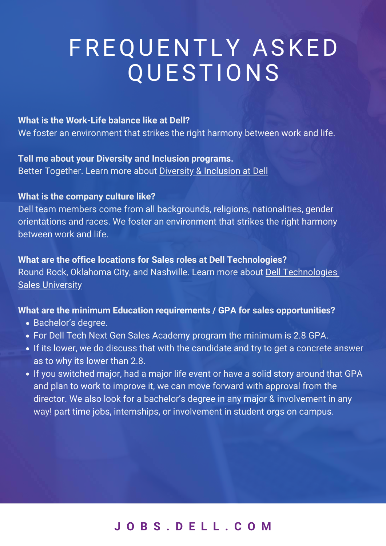## **J O B S . D E L L . C O [M](https://jobs.dell.com/students-us)**

- Bachelor's degree.
- For Dell Tech Next Gen Sales Academy program the minimum is 2.8 GPA.
- If its lower, we do discuss that with the candidate and try to get a concrete answer as to why its lower than 2.8.
- If you switched major, had a major life event or have a solid story around that GPA and plan to work to improve it, we can move forward with approval from the director. We also look for a bachelor's degree in any major & involvement in any way! part time jobs, internships, or involvement in student orgs on campus.

### **What are the office locations for Sales roles at Dell Technologies?** Round Rock, Oklahoma City, and Nashville. Learn more about [Dell Technologies](https://jobs.dell.com/sales-academy) **[Sales University](https://jobs.dell.com/sales-academy)**

#### **What is the Work-Life balance like at Dell?**

# F R E Q U E N T L Y A S K E D QUESTIONS

We foster an environment that strikes the right harmony between work and life.

**Tell me about your Diversity and Inclusion programs.**  Better Together. Learn more about [Diversity & Inclusion at Dell](https://jobs.dell.com/diversity-and-inclusion)

#### **What is the company culture like?**

Dell team members come from all backgrounds, religions, nationalities, gender orientations and races. We foster an environment that strikes the right harmony between work and life.

**What are the minimum Education requirements / GPA for sales opportunities?**